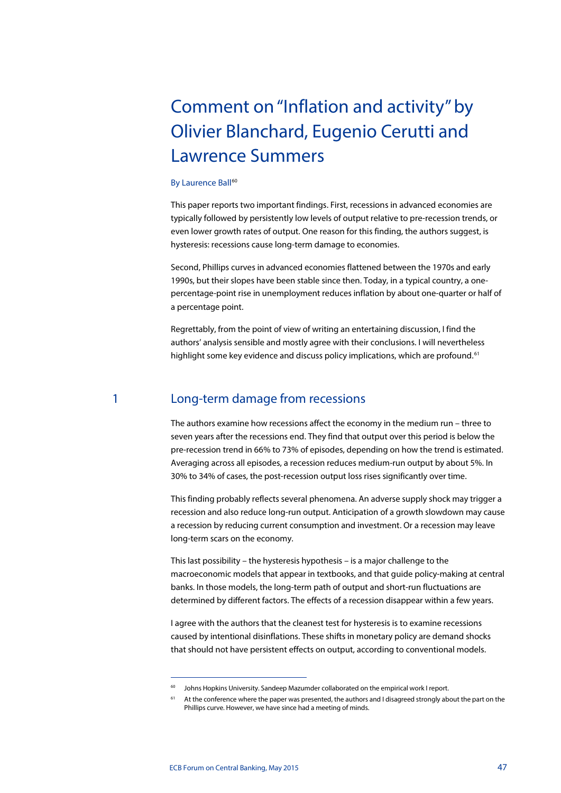# Comment on "Inflation and activity" by Olivier Blanchard, Eugenio Cerutti and Lawrence Summers

## By Laurence Ball<sup>[60](#page-0-0)</sup>

This paper reports two important findings. First, recessions in advanced economies are typically followed by persistently low levels of output relative to pre-recession trends, or even lower growth rates of output. One reason for this finding, the authors suggest, is hysteresis: recessions cause long-term damage to economies.

Second, Phillips curves in advanced economies flattened between the 1970s and early 1990s, but their slopes have been stable since then. Today, in a typical country, a onepercentage-point rise in unemployment reduces inflation by about one-quarter or half of a percentage point.

Regrettably, from the point of view of writing an entertaining discussion, I find the authors' analysis sensible and mostly agree with their conclusions. I will nevertheless highlight some key evidence and discuss policy implications, which are profound.<sup>[61](#page-0-1)</sup>

## 1 Long-term damage from recessions

The authors examine how recessions affect the economy in the medium run – three to seven years after the recessions end. They find that output over this period is below the pre-recession trend in 66% to 73% of episodes, depending on how the trend is estimated. Averaging across all episodes, a recession reduces medium-run output by about 5%. In 30% to 34% of cases, the post-recession output loss rises significantly over time.

This finding probably reflects several phenomena. An adverse supply shock may trigger a recession and also reduce long-run output. Anticipation of a growth slowdown may cause a recession by reducing current consumption and investment. Or a recession may leave long-term scars on the economy.

This last possibility – the hysteresis hypothesis – is a major challenge to the macroeconomic models that appear in textbooks, and that guide policy-making at central banks. In those models, the long-term path of output and short-run fluctuations are determined by different factors. The effects of a recession disappear within a few years.

I agree with the authors that the cleanest test for hysteresis is to examine recessions caused by intentional disinflations. These shifts in monetary policy are demand shocks that should not have persistent effects on output, according to conventional models.

1

<span id="page-0-1"></span><span id="page-0-0"></span><sup>&</sup>lt;sup>60</sup> Johns Hopkins University. Sandeep Mazumder collaborated on the empirical work I report.

At the conference where the paper was presented, the authors and I disagreed strongly about the part on the Phillips curve. However, we have since had a meeting of minds.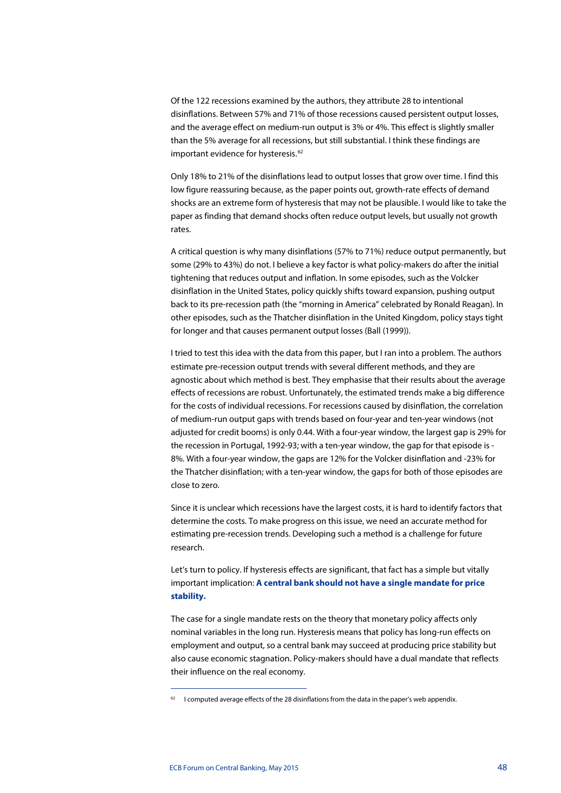Of the 122 recessions examined by the authors, they attribute 28 to intentional disinflations. Between 57% and 71% of those recessions caused persistent output losses, and the average effect on medium-run output is 3% or 4%. This effect is slightly smaller than the 5% average for all recessions, but still substantial. I think these findings are important evidence for hysteresis.<sup>[62](#page-1-0)</sup>

Only 18% to 21% of the disinflations lead to output losses that grow over time. I find this low figure reassuring because, as the paper points out, growth-rate effects of demand shocks are an extreme form of hysteresis that may not be plausible. I would like to take the paper as finding that demand shocks often reduce output levels, but usually not growth rates.

A critical question is why many disinflations (57% to 71%) reduce output permanently, but some (29% to 43%) do not. I believe a key factor is what policy-makers do after the initial tightening that reduces output and inflation. In some episodes, such as the Volcker disinflation in the United States, policy quickly shifts toward expansion, pushing output back to its pre-recession path (the "morning in America" celebrated by Ronald Reagan). In other episodes, such as the Thatcher disinflation in the United Kingdom, policy stays tight for longer and that causes permanent output losses (Ball (1999)).

I tried to test this idea with the data from this paper, but I ran into a problem. The authors estimate pre-recession output trends with several different methods, and they are agnostic about which method is best. They emphasise that their results about the average effects of recessions are robust. Unfortunately, the estimated trends make a big difference for the costs of individual recessions. For recessions caused by disinflation, the correlation of medium-run output gaps with trends based on four-year and ten-year windows (not adjusted for credit booms) is only 0.44. With a four-year window, the largest gap is 29% for the recession in Portugal, 1992-93; with a ten-year window, the gap for that episode is - 8%. With a four-year window, the gaps are 12% for the Volcker disinflation and -23% for the Thatcher disinflation; with a ten-year window, the gaps for both of those episodes are close to zero.

Since it is unclear which recessions have the largest costs, it is hard to identify factors that determine the costs. To make progress on this issue, we need an accurate method for estimating pre-recession trends. Developing such a method is a challenge for future research.

Let's turn to policy. If hysteresis effects are significant, that fact has a simple but vitally important implication: **A central bank should not have a single mandate for price stability.**

The case for a single mandate rests on the theory that monetary policy affects only nominal variables in the long run. Hysteresis means that policy has long-run effects on employment and output, so a central bank may succeed at producing price stability but also cause economic stagnation. Policy-makers should have a dual mandate that reflects their influence on the real economy.

1

<span id="page-1-0"></span>I computed average effects of the 28 disinflations from the data in the paper's web appendix.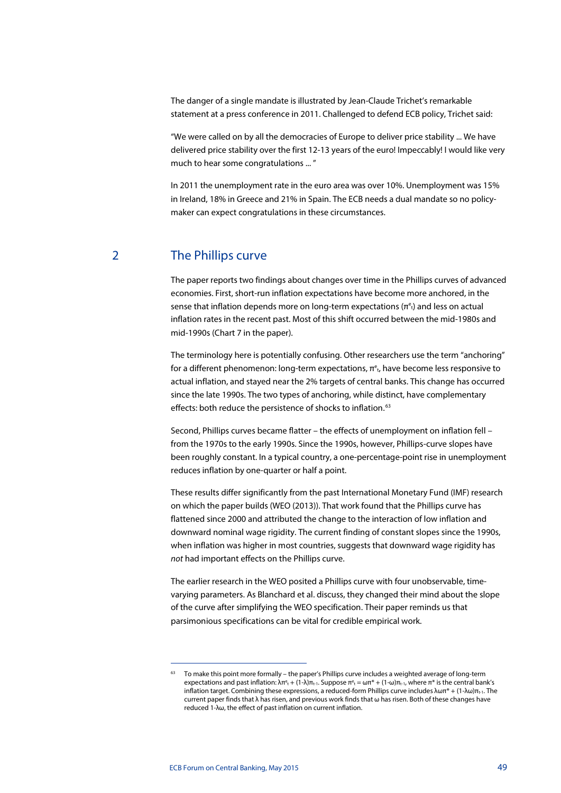The danger of a single mandate is illustrated by Jean-Claude Trichet's remarkable statement at a press conference in 2011. Challenged to defend ECB policy, Trichet said:

"We were called on by all the democracies of Europe to deliver price stability ... We have delivered price stability over the first 12-13 years of the euro! Impeccably! I would like very much to hear some congratulations ... "

In 2011 the unemployment rate in the euro area was over 10%. Unemployment was 15% in Ireland, 18% in Greece and 21% in Spain. The ECB needs a dual mandate so no policymaker can expect congratulations in these circumstances.

# 2 The Phillips curve

The paper reports two findings about changes over time in the Phillips curves of advanced economies. First, short-run inflation expectations have become more anchored, in the sense that inflation depends more on long-term expectations ( $\pi$ <sup>e</sup>t) and less on actual inflation rates in the recent past. Most of this shift occurred between the mid-1980s and mid-1990s (Chart 7 in the paper).

The terminology here is potentially confusing. Other researchers use the term "anchoring" for a different phenomenon: long-term expectations,  $\pi^\mathrm{e_\mathrm{t}}$  have become less responsive to actual inflation, and stayed near the 2% targets of central banks. This change has occurred since the late 1990s. The two types of anchoring, while distinct, have complementary effects: both reduce the persistence of shocks to inflation.<sup>63</sup>

Second, Phillips curves became flatter – the effects of unemployment on inflation fell – from the 1970s to the early 1990s. Since the 1990s, however, Phillips-curve slopes have been roughly constant. In a typical country, a one-percentage-point rise in unemployment reduces inflation by one-quarter or half a point.

These results differ significantly from the past International Monetary Fund (IMF) research on which the paper builds (WEO (2013)). That work found that the Phillips curve has flattened since 2000 and attributed the change to the interaction of low inflation and downward nominal wage rigidity. The current finding of constant slopes since the 1990s, when inflation was higher in most countries, suggests that downward wage rigidity has *not* had important effects on the Phillips curve.

The earlier research in the WEO posited a Phillips curve with four unobservable, timevarying parameters. As Blanchard et al. discuss, they changed their mind about the slope of the curve after simplifying the WEO specification. Their paper reminds us that parsimonious specifications can be vital for credible empirical work.

<span id="page-2-0"></span>1

<sup>63</sup> To make this point more formally – the paper's Phillips curve includes a weighted average of long-term expectations and past inflation: λπ<sup>e</sup>t + (1-λ)π<sub>t-1</sub>. Suppose π<sup>e</sup>t = ωπ\* + (1-ω)π<sub>t-1</sub>, where π\* is the central bank's inflation target. Combining these expressions, a reduced-form Phillips curve includes  $\lambda \omega n^* + (1-\lambda \omega) n_{t-1}$ . The current paper finds that λ has risen, and previous work finds that ω has risen. Both of these changes have reduced 1-λω, the effect of past inflation on current inflation.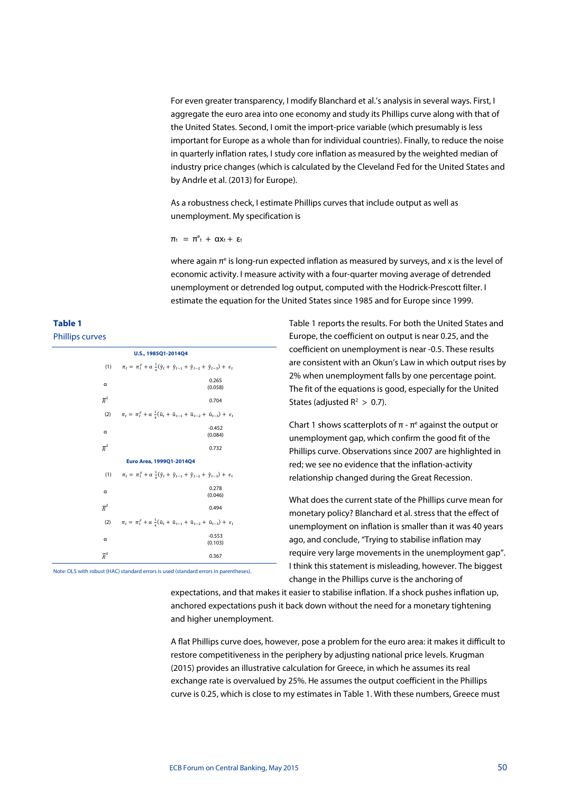For even greater transparency, I modify Blanchard et al.'s analysis in several ways. First, I aggregate the euro area into one economy and study its Phillips curve along with that of the United States. Second, I omit the import-price variable (which presumably is less important for Europe as a whole than for individual countries). Finally, to reduce the noise in quarterly inflation rates, I study core inflation as measured by the weighted median of industry price changes (which is calculated by the Cleveland Fed for the United States and by Andrle et al. (2013) for Europe).

As a robustness check, I estimate Phillips curves that include output as well as unemployment. My specification is

 $\pi_t = \pi^e_t + \alpha x_t + \varepsilon_t$ 

where again  $\pi$ <sup>e</sup> is long-run expected inflation as measured by surveys, and x is the level of economic activity. I measure activity with a four-quarter moving average of detrended unemployment or detrended log output, computed with the Hodrick-Prescott filter. I estimate the equation for the United States since 1985 and for Europe since 1999.

## **Table 1** Phillips curves

|                  | U.S., 1985Q1-2014Q4                                                                                                     |
|------------------|-------------------------------------------------------------------------------------------------------------------------|
| (1)              | $\pi_t = \pi_t^F + \alpha \frac{1}{4} (\tilde{y}_t + \tilde{y}_{t-1} + \tilde{y}_{t-2} + \tilde{y}_{t-3}) + \epsilon_t$ |
| α                | 0.265<br>(0.058)                                                                                                        |
| $\overline{R}^2$ | 0.704                                                                                                                   |
| (2)              | $\pi_t = \pi_t^F + \alpha \frac{1}{4}(\tilde{u}_t + \tilde{u}_{t-1} + \tilde{u}_{t-2} + \tilde{u}_{t-3}) + \epsilon_t$  |
| α                | $-0.452$<br>(0.084)                                                                                                     |
| $\overline{R}^2$ | 0.732                                                                                                                   |
|                  | Euro Area, 1999Q1-2014Q4                                                                                                |
| (1)              | $\pi_t = \pi_t^F + \alpha \frac{1}{4}(\tilde{y}_t + \tilde{y}_{t-1} + \tilde{y}_{t-2} + \tilde{y}_{t-3}) + \epsilon_t$  |
| α                | 0.278<br>(0.046)                                                                                                        |
| $\overline{R}^2$ | 0.494                                                                                                                   |
| (2)              | $\pi_t = \pi_t^F + \alpha \frac{1}{4} (\tilde{u}_t + \tilde{u}_{t-1} + \tilde{u}_{t-2} + \tilde{u}_{t-3}) + \epsilon_t$ |
| α                | $-0.553$<br>(0.103)                                                                                                     |
| $\overline{R}^2$ | 0.367                                                                                                                   |

Note: OLS with robust (HAC) standard errors is used (standard errors in parentheses).

Table 1 reports the results. For both the United States and Europe, the coefficient on output is near 0.25, and the coefficient on unemployment is near -0.5. These results are consistent with an Okun's Law in which output rises by 2% when unemployment falls by one percentage point. The fit of the equations is good, especially for the United States (adjusted  $R^2 > 0.7$ ).

Chart 1 shows scatterplots of  $π$  -  $π$ <sup>e</sup> against the output or unemployment gap, which confirm the good fit of the Phillips curve. Observations since 2007 are highlighted in red; we see no evidence that the inflation-activity relationship changed during the Great Recession.

What does the current state of the Phillips curve mean for monetary policy? Blanchard et al. stress that the effect of unemployment on inflation is smaller than it was 40 years ago, and conclude, "Trying to stabilise inflation may require very large movements in the unemployment gap". I think this statement is misleading, however. The biggest change in the Phillips curve is the anchoring of

expectations, and that makes it easier to stabilise inflation. If a shock pushes inflation up, anchored expectations push it back down without the need for a monetary tightening and higher unemployment.

A flat Phillips curve does, however, pose a problem for the euro area: it makes it difficult to restore competitiveness in the periphery by adjusting national price levels. Krugman (2015) provides an illustrative calculation for Greece, in which he assumes its real exchange rate is overvalued by 25%. He assumes the output coefficient in the Phillips curve is 0.25, which is close to my estimates in Table 1. With these numbers, Greece must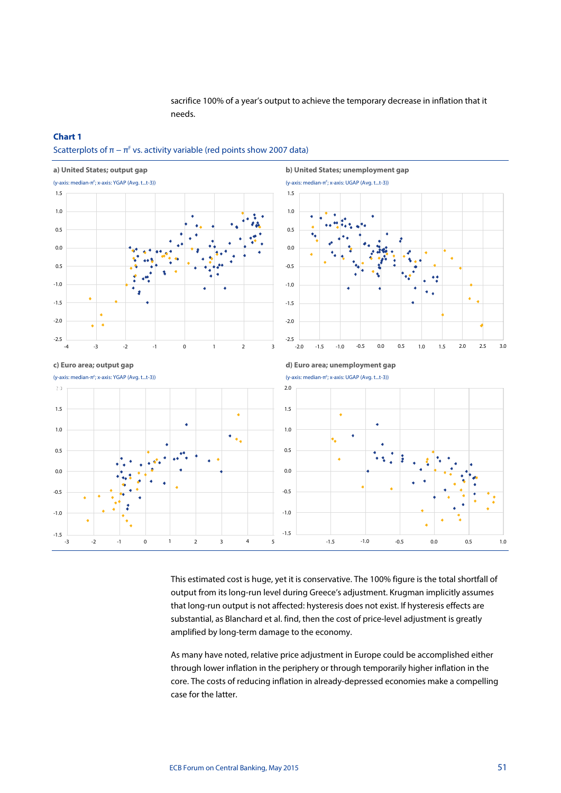sacrifice 100% of a year's output to achieve the temporary decrease in inflation that it needs.

### **Chart 1**

## Scatterplots of  $\pi - \pi^F$  vs. activity variable (red points show 2007 data)



This estimated cost is huge, yet it is conservative. The 100% figure is the total shortfall of output from its long-run level during Greece's adjustment. Krugman implicitly assumes that long-run output is not affected: hysteresis does not exist. If hysteresis effects are substantial, as Blanchard et al. find, then the cost of price-level adjustment is greatly amplified by long-term damage to the economy.

As many have noted, relative price adjustment in Europe could be accomplished either through lower inflation in the periphery or through temporarily higher inflation in the core. The costs of reducing inflation in already-depressed economies make a compelling case for the latter.